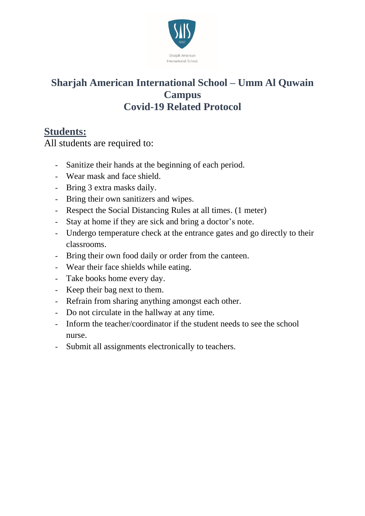

# **Sharjah American International School – Umm Al Quwain Campus Covid-19 Related Protocol**

#### **Students:**

All students are required to:

- Sanitize their hands at the beginning of each period.
- Wear mask and face shield.
- Bring 3 extra masks daily.
- Bring their own sanitizers and wipes.
- Respect the Social Distancing Rules at all times. (1 meter)
- Stay at home if they are sick and bring a doctor's note.
- Undergo temperature check at the entrance gates and go directly to their classrooms.
- Bring their own food daily or order from the canteen.
- Wear their face shields while eating.
- Take books home every day.
- Keep their bag next to them.
- Refrain from sharing anything amongst each other.
- Do not circulate in the hallway at any time.
- Inform the teacher/coordinator if the student needs to see the school nurse.
- Submit all assignments electronically to teachers.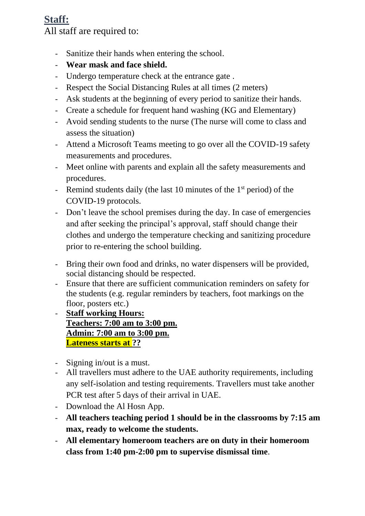# **Staff:**

All staff are required to:

- Sanitize their hands when entering the school.
- **Wear mask and face shield.**
- Undergo temperature check at the entrance gate .
- Respect the Social Distancing Rules at all times (2 meters)
- Ask students at the beginning of every period to sanitize their hands.
- Create a schedule for frequent hand washing (KG and Elementary)
- Avoid sending students to the nurse (The nurse will come to class and assess the situation)
- Attend a Microsoft Teams meeting to go over all the COVID-19 safety measurements and procedures.
- Meet online with parents and explain all the safety measurements and procedures.
- Remind students daily (the last 10 minutes of the  $1<sup>st</sup>$  period) of the COVID-19 protocols.
- Don't leave the school premises during the day. In case of emergencies and after seeking the principal's approval, staff should change their clothes and undergo the temperature checking and sanitizing procedure prior to re-entering the school building.
- Bring their own food and drinks, no water dispensers will be provided, social distancing should be respected.
- Ensure that there are sufficient communication reminders on safety for the students (e.g. regular reminders by teachers, foot markings on the floor, posters etc.)
- **Staff working Hours: Teachers: 7:00 am to 3:00 pm. Admin: 7:00 am to 3:00 pm. Lateness starts at ??**
- Signing in/out is a must.
- All travellers must adhere to the UAE authority requirements, including any self-isolation and testing requirements. Travellers must take another PCR test after 5 days of their arrival in UAE.
- Download the Al Hosn App.
- **All teachers teaching period 1 should be in the classrooms by 7:15 am max, ready to welcome the students.**
- **All elementary homeroom teachers are on duty in their homeroom class from 1:40 pm-2:00 pm to supervise dismissal time**.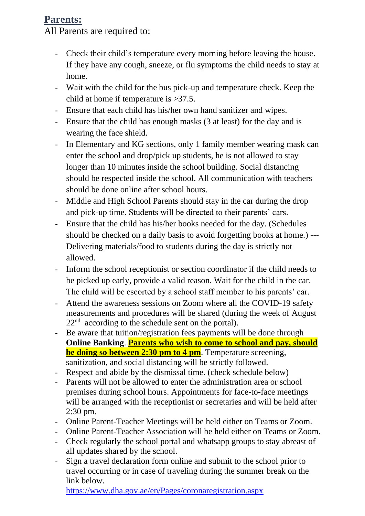# **Parents:**

All Parents are required to:

- Check their child's temperature every morning before leaving the house. If they have any cough, sneeze, or flu symptoms the child needs to stay at home.
- Wait with the child for the bus pick-up and temperature check. Keep the child at home if temperature is >37.5.
- Ensure that each child has his/her own hand sanitizer and wipes.
- Ensure that the child has enough masks (3 at least) for the day and is wearing the face shield.
- In Elementary and KG sections, only 1 family member wearing mask can enter the school and drop/pick up students, he is not allowed to stay longer than 10 minutes inside the school building. Social distancing should be respected inside the school. All communication with teachers should be done online after school hours.
- Middle and High School Parents should stay in the car during the drop and pick-up time. Students will be directed to their parents' cars.
- Ensure that the child has his/her books needed for the day. (Schedules should be checked on a daily basis to avoid forgetting books at home.) --- Delivering materials/food to students during the day is strictly not allowed.
- Inform the school receptionist or section coordinator if the child needs to be picked up early, provide a valid reason. Wait for the child in the car. The child will be escorted by a school staff member to his parents' car.
- Attend the awareness sessions on Zoom where all the COVID-19 safety measurements and procedures will be shared (during the week of August  $22<sup>nd</sup>$  according to the schedule sent on the portal).
- Be aware that tuition/registration fees payments will be done through **Online Banking**. **Parents who wish to come to school and pay, should be doing so between 2:30 pm to 4 pm**. Temperature screening, sanitization, and social distancing will be strictly followed.
- Respect and abide by the dismissal time. (check schedule below)
- Parents will not be allowed to enter the administration area or school premises during school hours. Appointments for face-to-face meetings will be arranged with the receptionist or secretaries and will be held after 2:30 pm.
- Online Parent-Teacher Meetings will be held either on Teams or Zoom.
- Online Parent-Teacher Association will be held either on Teams or Zoom.
- Check regularly the school portal and whatsapp groups to stay abreast of all updates shared by the school.
- Sign a travel declaration form online and submit to the school prior to travel occurring or in case of traveling during the summer break on the link below.

<https://www.dha.gov.ae/en/Pages/coronaregistration.aspx>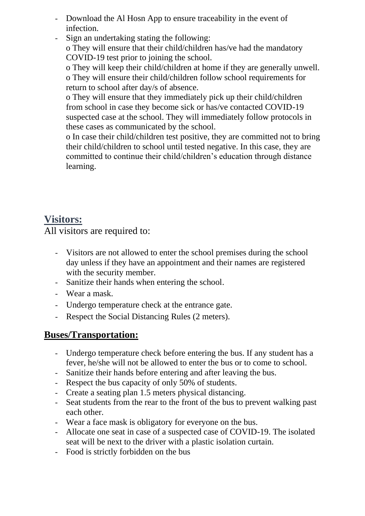- Download the Al Hosn App to ensure traceability in the event of infection.
- Sign an undertaking stating the following: o They will ensure that their child/children has/ve had the mandatory COVID-19 test prior to joining the school.

o They will keep their child/children at home if they are generally unwell. o They will ensure their child/children follow school requirements for return to school after day/s of absence.

o They will ensure that they immediately pick up their child/children from school in case they become sick or has/ve contacted COVID-19 suspected case at the school. They will immediately follow protocols in these cases as communicated by the school.

o In case their child/children test positive, they are committed not to bring their child/children to school until tested negative. In this case, they are committed to continue their child/children's education through distance learning.

#### **Visitors:**

All visitors are required to:

- Visitors are not allowed to enter the school premises during the school day unless if they have an appointment and their names are registered with the security member.
- Sanitize their hands when entering the school.
- Wear a mask.
- Undergo temperature check at the entrance gate.
- Respect the Social Distancing Rules (2 meters).

# **Buses/Transportation:**

- Undergo temperature check before entering the bus. If any student has a fever, he/she will not be allowed to enter the bus or to come to school.
- Sanitize their hands before entering and after leaving the bus.
- Respect the bus capacity of only 50% of students.
- Create a seating plan 1.5 meters physical distancing.
- Seat students from the rear to the front of the bus to prevent walking past each other.
- Wear a face mask is obligatory for everyone on the bus.
- Allocate one seat in case of a suspected case of COVID-19. The isolated seat will be next to the driver with a plastic isolation curtain.
- Food is strictly forbidden on the bus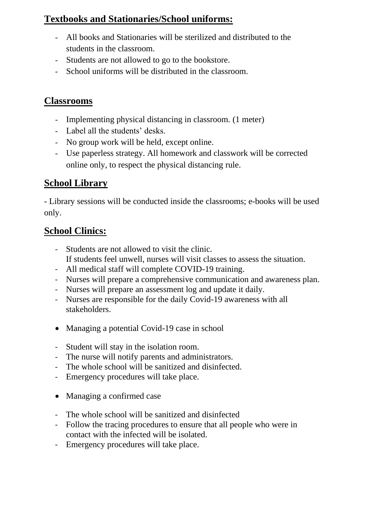#### **Textbooks and Stationaries/School uniforms:**

- All books and Stationaries will be sterilized and distributed to the students in the classroom.
- Students are not allowed to go to the bookstore.
- School uniforms will be distributed in the classroom.

#### **Classrooms**

- Implementing physical distancing in classroom. (1 meter)
- Label all the students' desks.
- No group work will be held, except online.
- Use paperless strategy. All homework and classwork will be corrected online only, to respect the physical distancing rule.

# **School Library**

- Library sessions will be conducted inside the classrooms; e-books will be used only.

# **School Clinics:**

- Students are not allowed to visit the clinic. If students feel unwell, nurses will visit classes to assess the situation.
- All medical staff will complete COVID-19 training.
- Nurses will prepare a comprehensive communication and awareness plan.
- Nurses will prepare an assessment log and update it daily.
- Nurses are responsible for the daily Covid-19 awareness with all stakeholders.
- Managing a potential Covid-19 case in school
- Student will stay in the isolation room.
- The nurse will notify parents and administrators.
- The whole school will be sanitized and disinfected.
- Emergency procedures will take place.
- Managing a confirmed case
- The whole school will be sanitized and disinfected
- Follow the tracing procedures to ensure that all people who were in contact with the infected will be isolated.
- Emergency procedures will take place.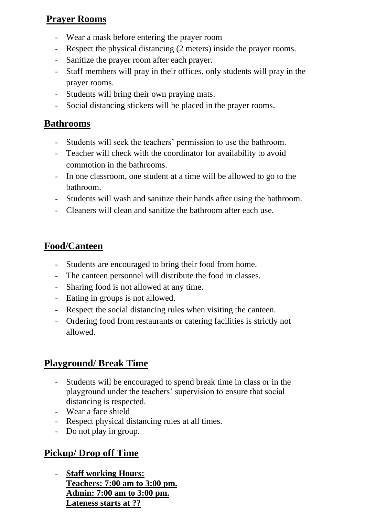#### **Prayer Rooms**

- Wear a mask before entering the prayer room
- Respect the physical distancing (2 meters) inside the prayer rooms.
- Sanitize the prayer room after each prayer.
- Staff members will pray in their offices, only students will pray in the prayer rooms.
- Students will bring their own praying mats.
- Social distancing stickers will be placed in the prayer rooms.

#### **Bathrooms**

- Students will seek the teachers' permission to use the bathroom.
- Teacher will check with the coordinator for availability to avoid commotion in the bathrooms.
- In one classroom, one student at a time will be allowed to go to the bathroom.
- Students will wash and sanitize their hands after using the bathroom.
- Cleaners will clean and sanitize the bathroom after each use.

# **Food/Canteen**

- Students are encouraged to bring their food from home.
- The canteen personnel will distribute the food in classes.
- Sharing food is not allowed at any time.
- Eating in groups is not allowed.
- Respect the social distancing rules when visiting the canteen.
- Ordering food from restaurants or catering facilities is strictly not allowed.

# **Playground/ Break Time**

- Students will be encouraged to spend break time in class or in the playground under the teachers' supervision to ensure that social distancing is respected.
- Wear a face shield
- Respect physical distancing rules at all times.
- Do not play in group.

# **Pickup/ Drop off Time**

- **Staff working Hours: Teachers: 7:00 am to 3:00 pm. Admin: 7:00 am to 3:00 pm. Lateness starts at ??**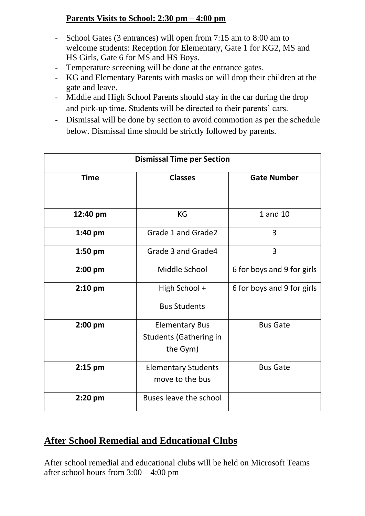#### **Parents Visits to School: 2:30 pm – 4:00 pm**

- School Gates (3 entrances) will open from 7:15 am to 8:00 am to welcome students: Reception for Elementary, Gate 1 for KG2, MS and HS Girls, Gate 6 for MS and HS Boys.
- Temperature screening will be done at the entrance gates.
- KG and Elementary Parents with masks on will drop their children at the gate and leave.
- Middle and High School Parents should stay in the car during the drop and pick-up time. Students will be directed to their parents' cars.
- Dismissal will be done by section to avoid commotion as per the schedule below. Dismissal time should be strictly followed by parents.

| <b>Dismissal Time per Section</b> |                                               |                            |  |
|-----------------------------------|-----------------------------------------------|----------------------------|--|
| <b>Time</b>                       | <b>Classes</b>                                | <b>Gate Number</b>         |  |
|                                   |                                               |                            |  |
| 12:40 pm                          | <b>KG</b>                                     | 1 and 10                   |  |
| 1:40 pm                           | Grade 1 and Grade2                            | 3                          |  |
| 1:50 pm                           | Grade 3 and Grade4                            | 3                          |  |
| $2:00$ pm                         | Middle School                                 | 6 for boys and 9 for girls |  |
| 2:10 pm                           | High School +                                 | 6 for boys and 9 for girls |  |
|                                   | <b>Bus Students</b>                           |                            |  |
| $2:00$ pm                         | <b>Elementary Bus</b>                         | <b>Bus Gate</b>            |  |
|                                   | <b>Students (Gathering in</b><br>the Gym)     |                            |  |
|                                   |                                               |                            |  |
| 2:15 pm                           | <b>Elementary Students</b><br>move to the bus | <b>Bus Gate</b>            |  |
| $2:20$ pm                         | Buses leave the school                        |                            |  |

# **After School Remedial and Educational Clubs**

After school remedial and educational clubs will be held on Microsoft Teams after school hours from 3:00 – 4:00 pm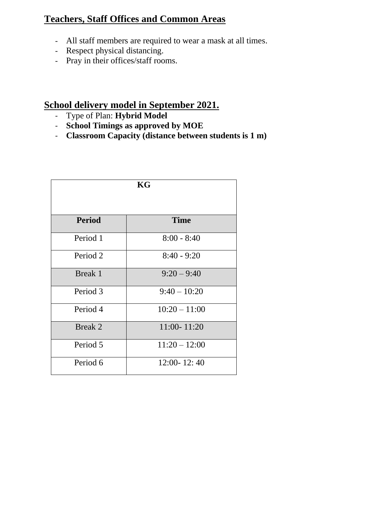### **Teachers, Staff Offices and Common Areas**

- All staff members are required to wear a mask at all times.
- Respect physical distancing.
- Pray in their offices/staff rooms.

# **School delivery model in September 2021.**

- Type of Plan: **Hybrid Model**
- **School Timings as approved by MOE**
- **Classroom Capacity (distance between students is 1 m)**

| KG                  |                 |  |
|---------------------|-----------------|--|
|                     |                 |  |
|                     |                 |  |
| <b>Period</b>       | <b>Time</b>     |  |
| Period 1            | $8:00 - 8:40$   |  |
| Period 2            | $8:40 - 9:20$   |  |
| Break 1             | $9:20 - 9:40$   |  |
| Period 3            | $9:40 - 10:20$  |  |
| Period 4            | $10:20 - 11:00$ |  |
| Break 2             | 11:00-11:20     |  |
| Period 5            | $11:20 - 12:00$ |  |
| Period <sub>6</sub> | 12:00-12:40     |  |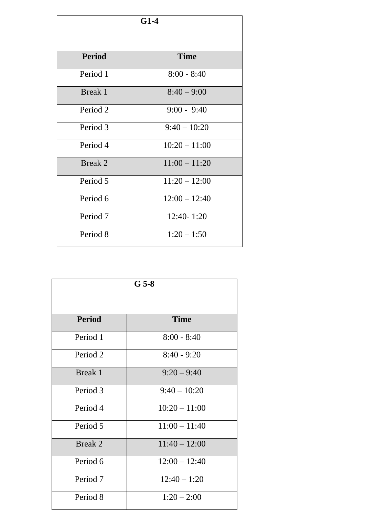| $G1-4$        |                 |  |
|---------------|-----------------|--|
|               |                 |  |
| <b>Period</b> | <b>Time</b>     |  |
| Period 1      | $8:00 - 8:40$   |  |
| Break 1       | $8:40 - 9:00$   |  |
| Period 2      | $9:00 - 9:40$   |  |
| Period 3      | $9:40 - 10:20$  |  |
| Period 4      | $10:20 - 11:00$ |  |
| Break 2       | $11:00 - 11:20$ |  |
| Period 5      | $11:20 - 12:00$ |  |
| Period 6      | $12:00 - 12:40$ |  |
| Period 7      | $12:40 - 1:20$  |  |
| Period 8      | $1:20 - 1:50$   |  |

| $G$ 5-8             |                 |  |
|---------------------|-----------------|--|
|                     |                 |  |
| <b>Period</b>       | <b>Time</b>     |  |
| Period 1            | $8:00 - 8:40$   |  |
| Period 2            | $8:40 - 9:20$   |  |
| Break 1             | $9:20 - 9:40$   |  |
| Period 3            | $9:40 - 10:20$  |  |
| Period 4            | $10:20 - 11:00$ |  |
| Period 5            | $11:00 - 11:40$ |  |
| Break 2             | $11:40 - 12:00$ |  |
| Period <sub>6</sub> | $12:00 - 12:40$ |  |
| Period 7            | $12:40 - 1:20$  |  |
| Period 8            | $1:20 - 2:00$   |  |